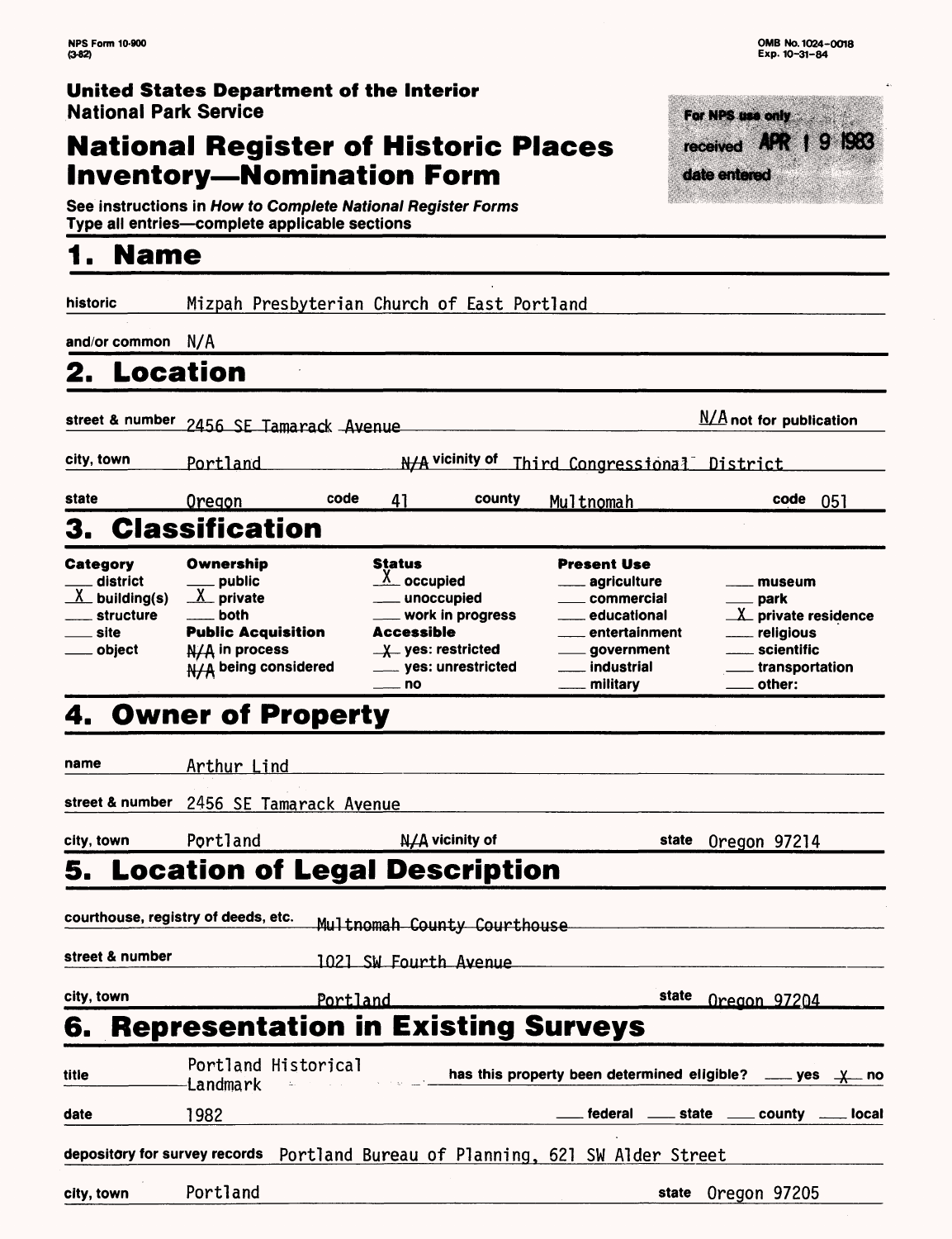## **United States Department of the Interior** National Park Service

# **National Register of Historic Places Inventory—Nomination Form**



See instructions in How to Complete National Register Forms Type ali entries—complete applicable sections\_\_\_\_\_\_\_\_\_\_\_\_\_\_\_

# **1. Name**

| historic                                                                                     | Mizpah Presbyterian Church of East Portland                                                                                                                                   |                                                                                                                                                              |                                                                                                                                            |                                                                                              |  |
|----------------------------------------------------------------------------------------------|-------------------------------------------------------------------------------------------------------------------------------------------------------------------------------|--------------------------------------------------------------------------------------------------------------------------------------------------------------|--------------------------------------------------------------------------------------------------------------------------------------------|----------------------------------------------------------------------------------------------|--|
| and/or common $N/A$                                                                          |                                                                                                                                                                               |                                                                                                                                                              |                                                                                                                                            |                                                                                              |  |
| 2. Location                                                                                  |                                                                                                                                                                               |                                                                                                                                                              |                                                                                                                                            |                                                                                              |  |
|                                                                                              | $N/A$ not for publication<br>street & number 2456 SE Tamarack Avenue                                                                                                          |                                                                                                                                                              |                                                                                                                                            |                                                                                              |  |
| city, town                                                                                   | N/A vicinity of<br>Portland<br>Third Congressional District                                                                                                                   |                                                                                                                                                              |                                                                                                                                            |                                                                                              |  |
| state                                                                                        | code<br><u>Oregon</u>                                                                                                                                                         | 41<br>county                                                                                                                                                 | Multnomah                                                                                                                                  | code<br>051                                                                                  |  |
| 3.                                                                                           | <b>Classification</b>                                                                                                                                                         |                                                                                                                                                              |                                                                                                                                            |                                                                                              |  |
| Category<br>district<br>$\underline{\lambda}$ building(s)<br>structure<br>site<br>___ object | Ownership<br>. public<br>$X$ private<br>both<br><b>Public Acquisition</b><br>N/A in process<br>$N/A$ being considered                                                         | <b>Status</b><br>$X_{\text{occupied}}$<br>__ unoccupied<br>_ work in progress<br>Accessible<br>$\frac{1}{2}$ yes: restricted<br>____ yes: unrestricted<br>no | <b>Present Use</b><br>agriculture<br>commercial<br>. educational<br>entertainment<br><u>_</u> ___ government<br>___ industrial<br>military | museum<br>park<br>X private residence<br>religious<br>scientific<br>transportation<br>other: |  |
|                                                                                              | 4. Owner of Property                                                                                                                                                          |                                                                                                                                                              |                                                                                                                                            |                                                                                              |  |
| name                                                                                         | Arthur Lind                                                                                                                                                                   |                                                                                                                                                              |                                                                                                                                            |                                                                                              |  |
| street & number                                                                              | 2456 SE Tamarack Avenue                                                                                                                                                       |                                                                                                                                                              |                                                                                                                                            |                                                                                              |  |
| city, town                                                                                   | Portland                                                                                                                                                                      | N/A vicinity of                                                                                                                                              | state                                                                                                                                      | Oregon 97214                                                                                 |  |
|                                                                                              | 5. Location of Legal Description                                                                                                                                              |                                                                                                                                                              |                                                                                                                                            |                                                                                              |  |
|                                                                                              | courthouse, registry of deeds, etc.                                                                                                                                           | Multnomah County Courthouse                                                                                                                                  |                                                                                                                                            |                                                                                              |  |
| street & number                                                                              |                                                                                                                                                                               | 1021 SW Fourth Avenue                                                                                                                                        |                                                                                                                                            |                                                                                              |  |
| city, town                                                                                   | Portland                                                                                                                                                                      |                                                                                                                                                              | state<br>Oregon 97204                                                                                                                      |                                                                                              |  |
| 6.                                                                                           | <b>Representation in Existing Surveys</b>                                                                                                                                     |                                                                                                                                                              |                                                                                                                                            |                                                                                              |  |
| title                                                                                        | Portland Historical<br>has this property been determined eligible?<br>$\rule{1em}{0.15mm}$ yes $\rule{1em}{0.15mm}$ yes $\rule{1em}{0.15mm}$ $\rule{1em}{0.15mm}$<br>Landmark |                                                                                                                                                              |                                                                                                                                            |                                                                                              |  |
| date                                                                                         | 1982                                                                                                                                                                          |                                                                                                                                                              |                                                                                                                                            | federal _____ state _____ county _____ local                                                 |  |
|                                                                                              | depository for survey records Portland Bureau of Planning, 621 SW Alder Street                                                                                                |                                                                                                                                                              |                                                                                                                                            |                                                                                              |  |
| city, town                                                                                   | Portland                                                                                                                                                                      |                                                                                                                                                              |                                                                                                                                            | state Oregon 97205                                                                           |  |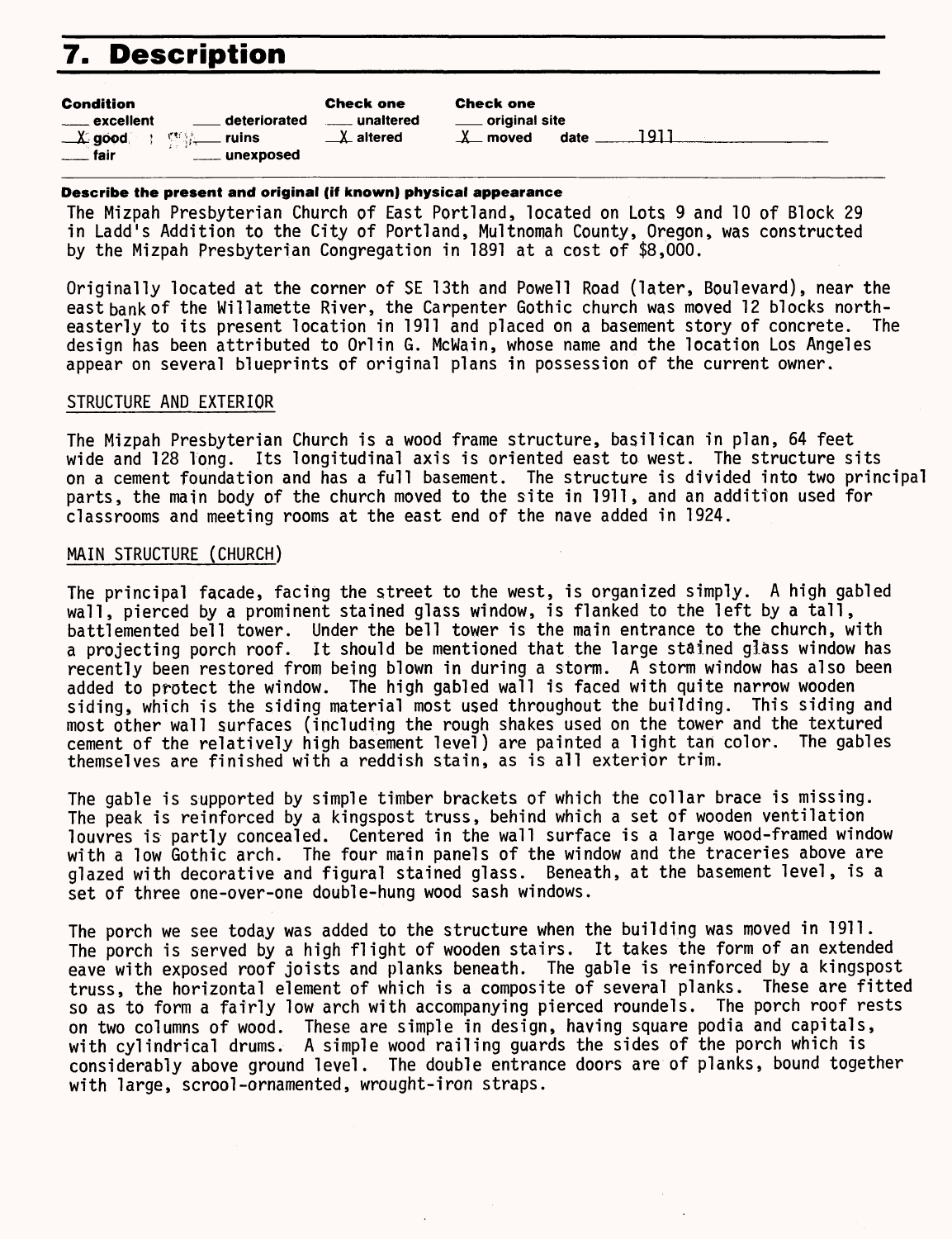# **7. Description**

| <b>Condition</b>                                                   |                           | <b>Check one</b>       | <b>Check one</b>           |      |      |  |
|--------------------------------------------------------------------|---------------------------|------------------------|----------------------------|------|------|--|
| excellent                                                          | <u>__</u> __ deteriorated | <u>__</u> __ unaltered | <u>_</u> ___ original site |      |      |  |
| $\frac{1}{2}$ good $\frac{1}{2}$ $\frac{1}{2}$ $\frac{1}{2}$ ruins |                           | $\perp$ altered        | $\lambda$ moved            | date | 1911 |  |
| $\equiv$ fair                                                      | _____ unexposed           |                        |                            |      |      |  |

#### **Describe the present and original (if known) physical appearance**

The Mizpah Presbyterian Church of East Portland, located on Lots 9 and 10 of Block 29 in Ladd's Addition to the City of Portland, Multnomah County, Oregon, was constructed by the Mizpah Presbyterian Congregation in 1891 at a cost of \$8,000.

Originally located at the corner of SE 13th and Powell Road (later, Boulevard), near the east bank of the Willamette River, the Carpenter Gothic church was moved 12 blocks north-<br>easterly to its present location in 1911 and placed on a basement story of concrete. The easterly to its present location in 1911 and placed on a basement story of concrete. design has been attributed to Orlin G. McWain, whose name and the location Los Angeles appear on several blueprints of original plans in possession of the current owner.

#### STRUCTURE AND EXTERIOR

The Mizpah Presbyterian Church is a wood frame structure, basilican in plan, 64 feet wide and 128 long. Its longitudinal axis is oriented east to west. The structure sits on a cement foundation and has a full basement. The structure is divided into two principal parts, the main body of the church moved to the site in 1911, and an addition used for classrooms and meeting rooms at the east end of the nave added in 1924.

#### MAIN STRUCTURE (CHURCH)

The principal facade, facing the street to the west, is organized simply. A high gabled wall, pierced by a prominent stained glass window, is flanked to the left by a tall, battlemented bell tower. Under the bell tower is the main entrance to the church, with a projecting porch roof. It should be mentioned that the large stained glass window has recently been restored from being blown in during a storm. A storm window has also been added to protect the window. The high gabled wall is faced with quite narrow wooden siding, which is the siding material most used throughout the building. This siding and most other wall surfaces (including the rough shakes used on the tower and the textured cement of the relatively high basement level) are painted a light tan color. The gables themselves are finished with a reddish stain, as is all exterior trim.

The gable is supported by simple timber brackets of which the collar brace is missing. The peak is reinforced by a kingspost truss, behind which a set of wooden ventilation louvres is partly concealed. Centered in the wall surface is a large wood-framed window with a low Gothic arch. The four main panels of the window and the traceries above are glazed with decorative and figural stained glass. Beneath, at the basement level, is a set of three one-over-one double-hung wood sash windows.

The porch we see today was added to the structure when the building was moved in 1911. The porch is served by a high flight of wooden stairs. It takes the form of an extended eave with exposed roof joists and planks beneath. The gable is reinforced by a kingspost truss, the horizontal element of which is a composite of several planks. These are fitted so as to form a fairly low arch with accompanying pierced roundels. The porch roof rests on two columns of wood. These are simple in design, having square podia and capitals, with cylindrical drums. A simple wood railing guards the sides of the porch which is considerably above ground level. The double entrance doors are of planks, bound together with large, scrool-ornamented, wrought-iron straps.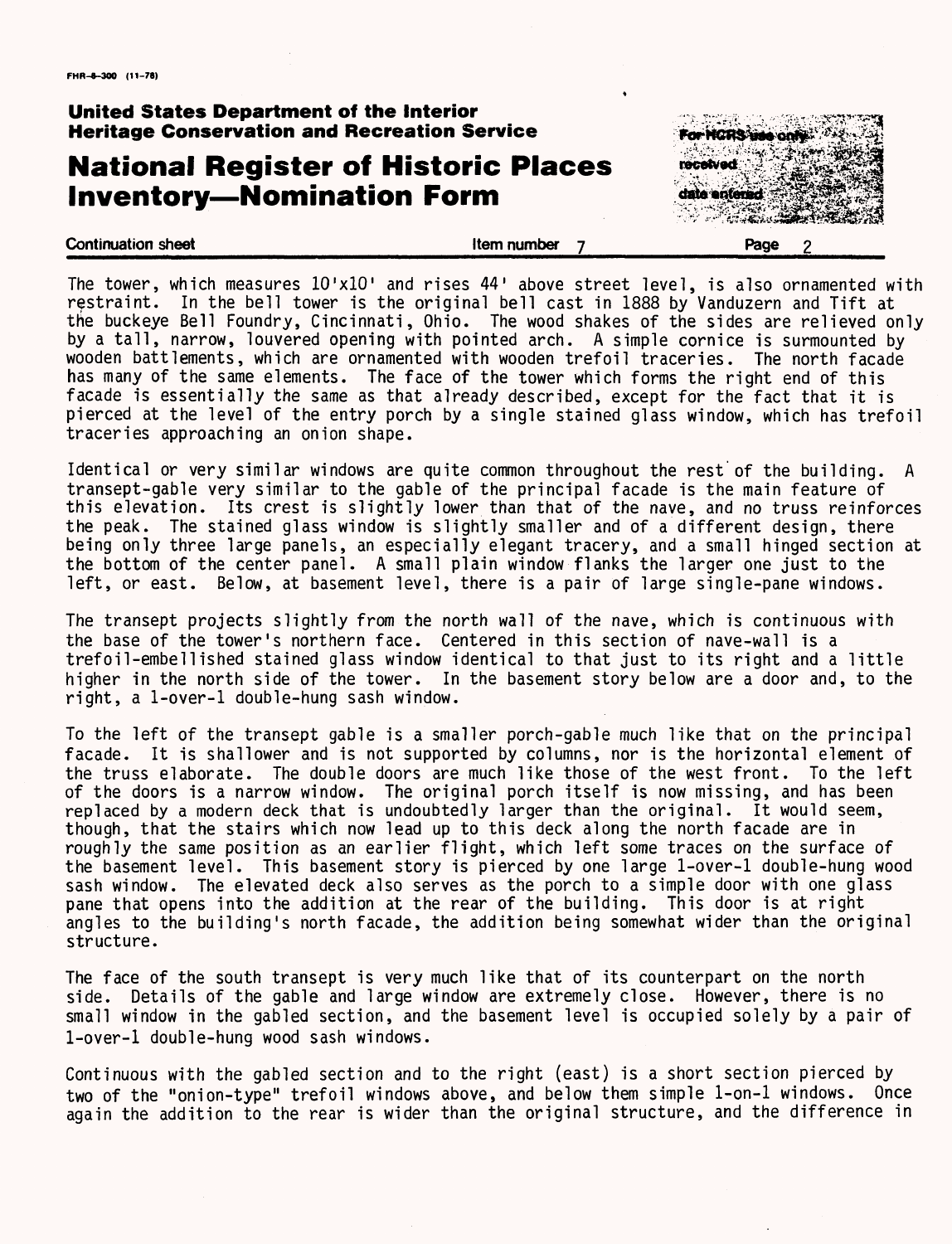# **National Register of Historic Places Inventory—Nomination Form**



**Continuation sheet Continuation sheet Continuation sheet Page 2** 

The tower, which measures 10'xlO' and rises 44' above street level, is also ornamented with restraint. In the bell tower is the original bell cast in 1888 by Vanduzern and Tift at the buckeye Bell Foundry, Cincinnati, Ohio. The wood shakes of the sides are relieved only by a tall, narrow, louvered opening with pointed arch. A simple cornice is surmounted by wooden battlements, which are ornamented with wooden trefoil traceries. The north facade has many of the same elements. The face of the tower which forms the right end of this facade is essentially the same as that already described, except for the fact that it is pierced at the level of the entry porch by a single stained glass window, which has trefoil traceries approaching an onion shape.

Identical or very similar windows are quite common throughout the rest of the building. A transept-gable very similar to the gable of the principal facade is the main feature of this elevation. Its crest is slightly lower than that of the nave, and no truss reinforces the peak. The stained glass window is slightly smaller and of a different design, there being only three large panels, an especially elegant tracery, and a small hinged section at the bottom of the center panel. A small plain window flanks the larger one just to the left, or east. Below, at basement level, there is a pair of large single-pane windows.

The transept projects slightly from the north wall of the nave, which is continuous with the base of the tower's northern face. Centered in this section of nave-wall is a trefoil-embellished stained glass window identical to that just to its right and a little higher in the north side of the tower. In the basement story below are a door and, to the right, a 1-over-l double-hung sash window.

To the left of the transept gable is a smaller porch-gable much like that on the principal facade. It is shallower and is not supported by columns, nor is the horizontal element of the truss elaborate. The double doors are much like those of the west front. To the left of the doors is a narrow window. The original porch itself is now missing, and has been replaced by a modern deck that is undoubtedly larger than the original. It would seem, though, that the stairs which now lead up to this deck along the north facade are in roughly the same position as an earlier flight, which left some traces on the surface of the basement level. This basement story is pierced by one large 1-over-l double-hung wood sash window. The elevated deck also serves as the porch to a simple door with one glass pane that opens into the addition at the rear of the building. This door is at right angles to the building's north facade, the addition being somewhat wider than the original structure.

The face of the south transept is very much like that of its counterpart on the north side. Details of the gable and large window are extremely close. However, there is no small window in the gabled section, and the basement level is occupied solely by a pair of 1-over-l double-hung wood sash windows.

Continuous with the gabled section and to the right (east) is a short section pierced by two of the "onion-type" trefoil windows above, and below them simple 1-on-l windows. Once again the addition to the rear is wider than the original structure, and the difference in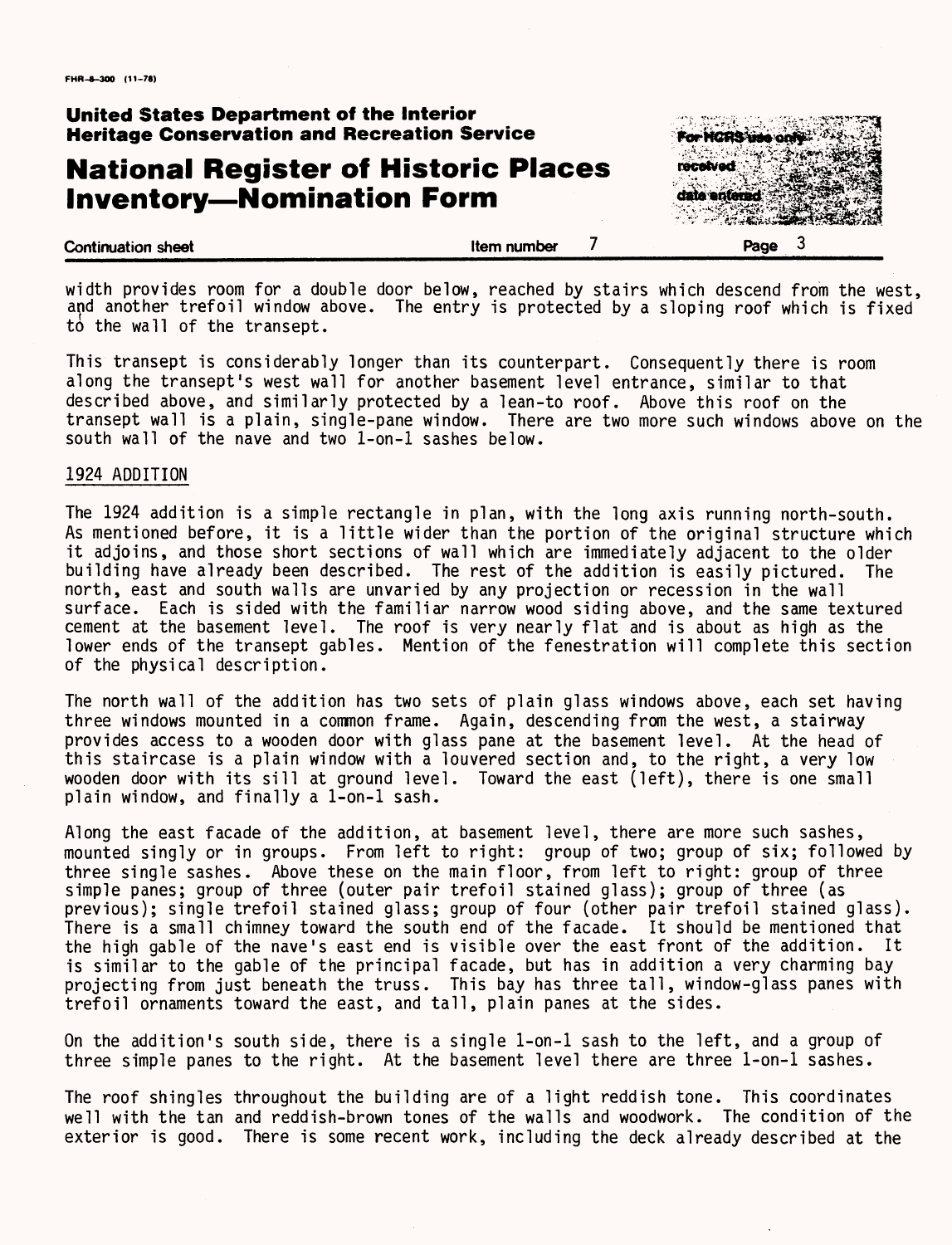# **National Register of Historic Places Inventory—Nomination Form**



width provides room for a double door below, reached by stairs which descend from the west, and another trefoil window above. The entry is protected by a sloping roof which is fixed to the wall of the transept.

This transept is considerably longer than its counterpart. Consequently there is room along the transept's west wall for another basement level entrance, similar to that described above, and similarly protected by a lean-to roof. Above this roof on the transept wall is a plain, single-pane window. There are two more such windows above on the south wall of the nave and two 1-on-l sashes below.

#### 1924 ADDITION

The 1924 addition is a simple rectangle in plan, with the long axis running north-south. As mentioned before, it is a little wider than the portion of the original structure which it adjoins, and those short sections of wall which are immediately adjacent to the older building have already been described. The rest of the addition is easily pictured. The north, east and south walls are unvaried by any projection or recession in the wall surface. Each is sided with the familiar narrow wood siding above, and the same textured cement at the basement level. The roof is very nearly flat and is about as high as the lower ends of the transept gables. Mention of the fenestration will complete this section of the physical description.

The north wall of the addition has two sets of plain glass windows above, each set having three windows mounted in a common frame. Again, descending from the west, a stairway provides access to a wooden door with glass pane at the basement level. At the head of this staircase is a plain window with a louvered section and, to the right, a very low wooden door with its sill at ground level. Toward the east (left), there is one small plain window, and finally a 1-on-l sash.

Along the east facade of the addition, at basement level, there are more such sashes, mounted singly or in groups. From left to right: group of two; group of six; followed by three single sashes. Above these on the main floor, from left to right: group of three simple panes; group of three (outer pair trefoil stained glass); group of three (as previous); single trefoil stained glass; group of four (other pair trefoil stained glass). There is a small chimney toward the south end of the facade. It should be mentioned that the high gable of the nave's east end is visible over the east front of the addition. It is similar to the gable of the principal facade, but has in addition a very charming bay projecting from just beneath the truss. This bay has three tall, window-glass panes with trefoil ornaments toward the east, and tall, plain panes at the sides.

On the addition's south side, there is a single 1-on-l sash to the left, and a group of three simple panes to the right. At the basement level there are three 1-on-l sashes.

The roof shingles throughout the building are of a light reddish tone. This coordinates well with the tan and reddish-brown tones of the walls and woodwork. The condition of the exterior is good. There is some recent work, including the deck already described at the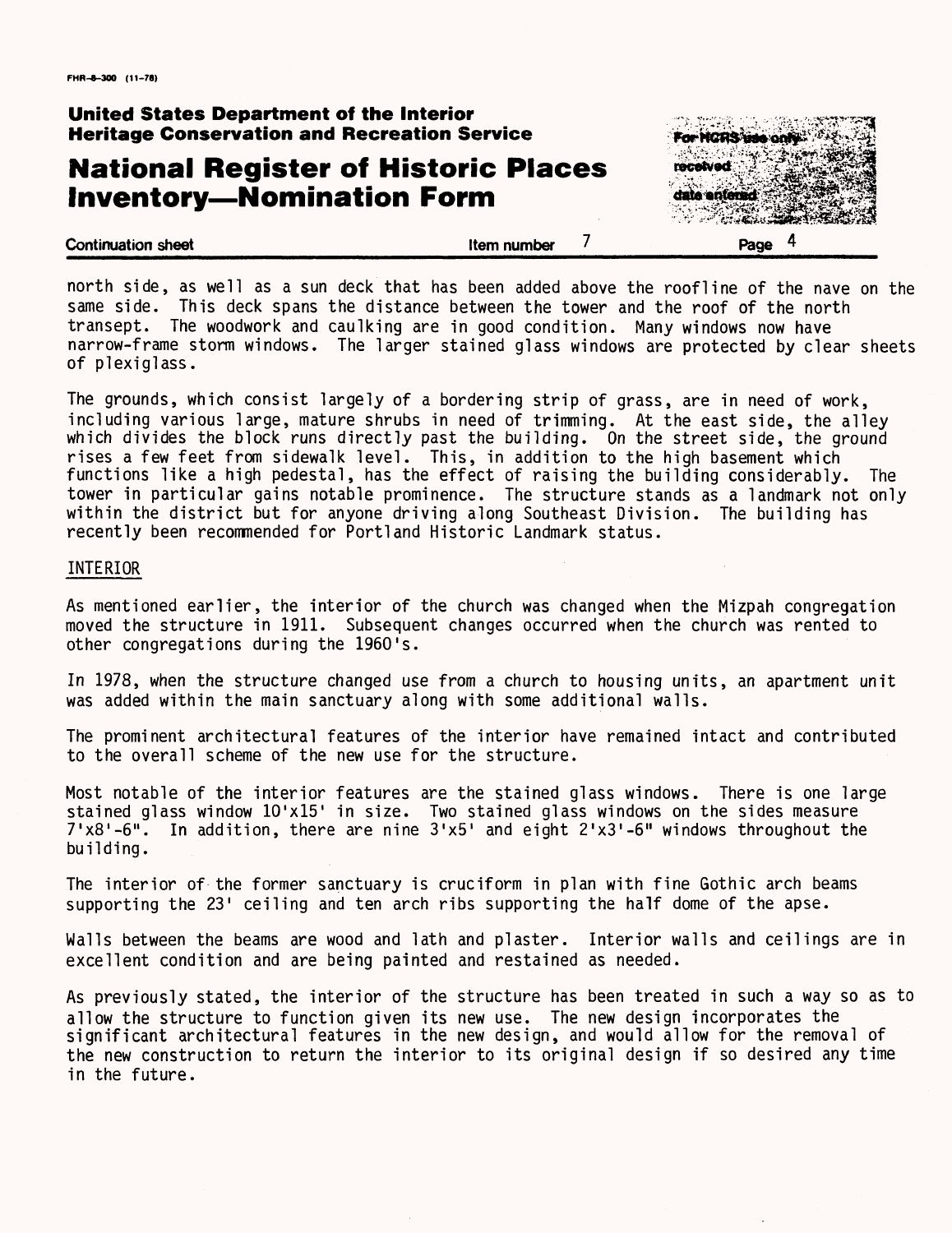# **National Register of Historic Places Inventory—Nomination Form**

**Continuation sheet Continuation** sheet **7** 



north side, as well as a sun deck that has been added above the roofline of the nave on the same side. This deck spans the distance between the tower and the roof of the north transept. The woodwork and caulking are in good condition. Many windows now have narrow-frame storm windows. The larger stained glass windows are protected by clear sheets of plexiglass.

The grounds, which consist largely of a bordering strip of grass, are in need of work, including various large, mature shrubs in need of trimming. At the east side, the alley which divides the block runs directly past the building. On the street side, the ground rises a few feet from sidewalk level. This, in addition to the high basement which functions like a high pedestal, has the effect of raising the building considerably. The tower in particular gains notable prominence. The structure stands as a landmark not only within the district but for anyone driving along Southeast Division. The building has recently been recommended for Portland Historic Landmark status.

#### INTERIOR

As mentioned earlier, the interior of the church was changed when the Mizpah congregation moved the structure in 1911. Subsequent changes occurred when the church was rented to other congregations during the 1960's.

In 1978, when the structure changed use from a church to housing units, an apartment unit was added within the main sanctuary along with some additional walls.

The prominent architectural features of the interior have remained intact and contributed to the overall scheme of the new use for the structure.

Most notable of the interior features are the stained glass windows. There is one large stained glass window  $10 \times 15$  in size. Two stained glass windows on the sides measure 7'x8'-6". In addition, there are nine 3'x5' and eight Z'xS'-S" windows throughout the building.

The interior of the former sanctuary is cruciform in plan with fine Gothic arch beams supporting the 23' ceiling and ten arch ribs supporting the half dome of the apse.

Walls between the beams are wood and lath and plaster. Interior walls and ceilings are in excellent condition and are being painted and restained as needed.

As previously stated, the interior of the structure has been treated in such a way so as to allow the structure to function given its new use. The new design incorporates the significant architectural features in the new design, and would allow for the removal of the new construction to return the interior to its original design if so desired any time in the future.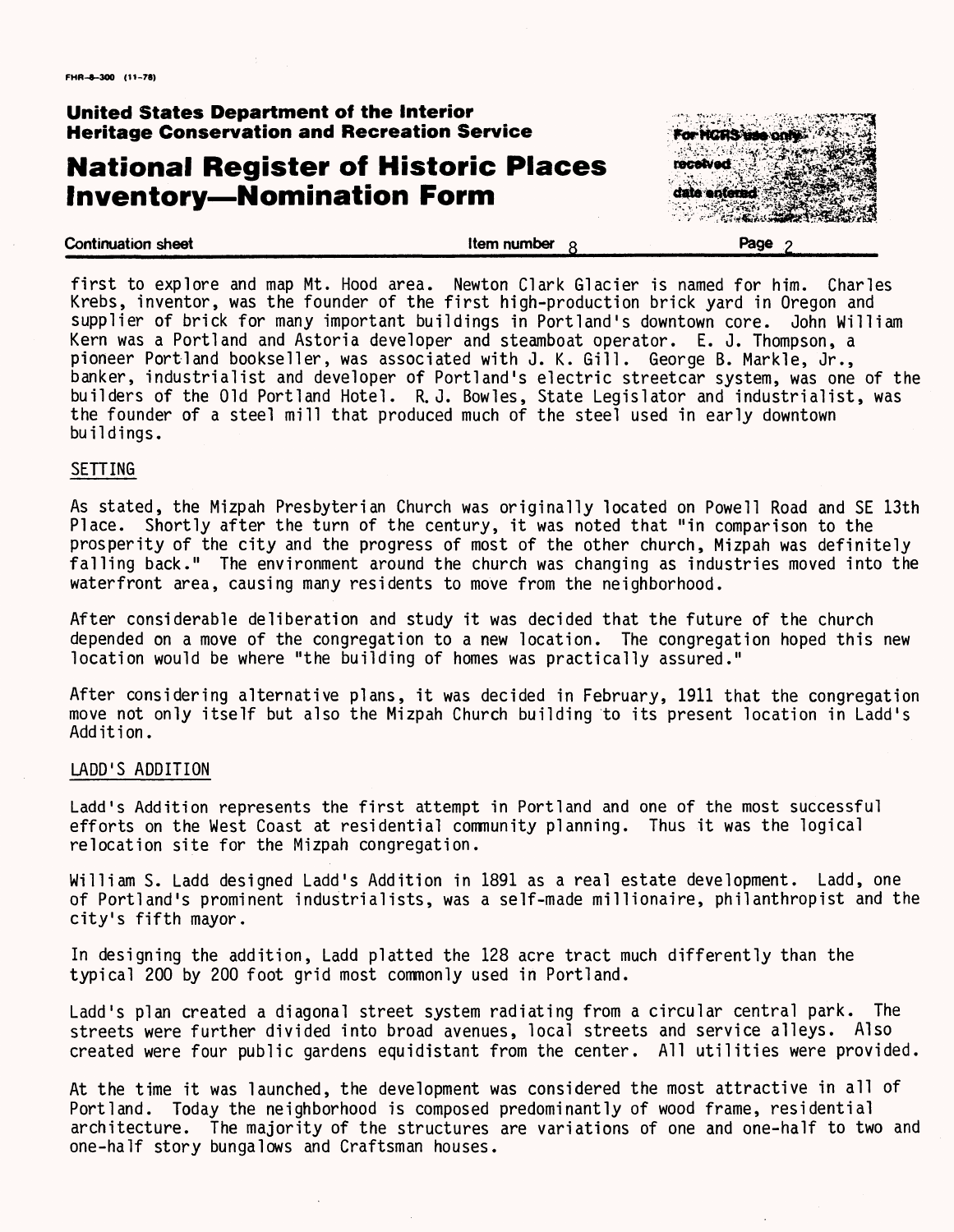# **National Register of Historic Places Inventory—Nomination Form**



first to explore and map Mt. Hood area. Newton Clark Glacier is named for him. Charles Krebs, inventor, was the founder of the first high-production brick yard in Oregon and<br>supplier of brick for many important buildings in Portland's downtown core. John William supplier of brick for many important buildings in Portland's downtown core. Kern was a Portland and Astoria developer and steamboat operator. E. J. Thompson, a pioneer Portland bookseller, was associated with J. K. Gill. George B. Markle, Jr., banker, industrialist and developer of Portland's electric streetcar system, was one of the builders of the Old Portland Hotel. R. J. Bowles, State Legislator and industrialist, was the founder of a steel mill that produced much of the steel used in early downtown buildings.

#### SETTING

As stated, the Mizpah Presbyterian Church was originally located on Powell Road and SE 13th Place. Shortly after the turn of the century, it was noted that "in comparison to the prosperity of the city and the progress of most of the other church, Mizpah was definitely falling back." The environment around the church was changing as industries moved into the waterfront area, causing many residents to move from the neighborhood.

After considerable deliberation and study it was decided that the future of the church depended on a move of the congregation to a new location. The congregation hoped this new location would be where "the building of homes was practically assured."

After considering alternative plans, it was decided in February, 1911 that the congregation move not only itself but also the Mizpah Church building to its present location in Ladd's Addition.

#### LADD'S ADDITION

Ladd's Addition represents the first attempt in Portland and one of the most successful efforts on the West Coast at residential community planning. Thus it was the logical relocation site for the Mizpah congregation.

William S. Ladd designed Ladd's Addition in 1891 as a real estate development. Ladd, one of Portland's prominent industrialists, was a self-made millionaire, philanthropist and the city's fifth mayor.

In designing the addition, Ladd platted the 128 acre tract much differently than the typical 200 by 200 foot grid most commonly used in Portland.

Ladd's plan created a diagonal street system radiating from a circular central park. The streets were further divided into broad avenues, local streets and service alleys. Also created were four public gardens equidistant from the center. All utilities were provided.

At the time it was launched, the development was considered the most attractive in all of Portland. Today the neighborhood is composed predominantly of wood frame, residential architecture. The majority of the structures are variations of one and one-half to two and one-half story bungalows and Craftsman houses.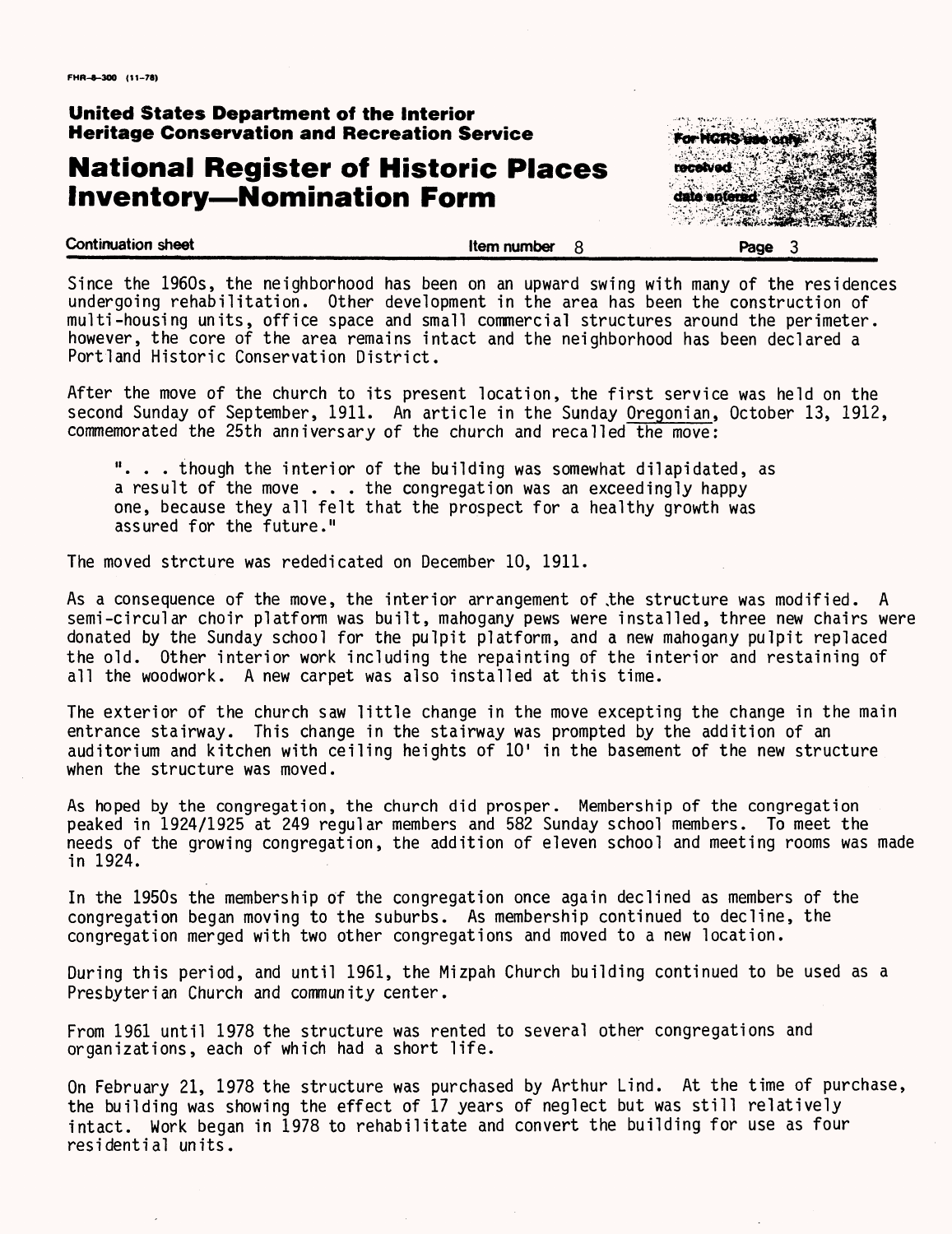## **National Register of Historic Places Inventory—Nomination Form Example 18 also actional**



Since the 1960s, the neighborhood has been on an upward swing with many of the residences undergoing rehabilitation. Other development in the area has been the construction of multi-housing units, office space and small commercial structures around the perimeter, however, the core of the area remains intact and the neighborhood has been declared a Portland Historic Conservation District.

After the move of the church to its present location, the first service was held on the second Sunday of September, 1911. An article in the Sunday Oregonian, October 13, 1912, commemorated the 25th anniversary of the church and recalled the move:

"... though the interior of the building was somewhat dilapidated, as a result of the move . . . the congregation was an exceedingly happy one, because they all felt that the prospect for a healthy growth was assured for the future."

The moved strcture was rededicated on December 10, 1911.

As a consequence of the move, the interior arrangement of .the structure was modified. A semi-circular choir platform was built, mahogany pews were installed, three new chairs were donated by the Sunday school for the pulpit platform, and a new mahogany pulpit replaced the old. Other interior work including the repainting of the interior and restaining of all the woodwork. A new carpet was also installed at this time.

The exterior of the church saw little change in the move excepting the change in the main entrance stairway. This change in the stairway was prompted by the addition of an auditorium and kitchen with ceiling heights of 10' in the basement of the new structure when the structure was moved.

As hoped by the congregation, the church did prosper. Membership of the congregation peaked in 1924/1925 at 249 regular members and 582 Sunday school members. To meet the needs of the growing congregation, the addition of eleven school and meeting rooms was made in 1924.

In the 1950s the membership of the congregation once again declined as members of the congregation began moving to the suburbs. As membership continued to decline, the congregation merged with two other congregations and moved to a new location.

During this period, and until 1961, the Mizpah Church building continued to be used as a Presbyterian Church and community center.

From 1961 until 1978 the structure was rented to several other congregations and organizations, each of which had a short life.

On February 21, 1978 the structure was purchased by Arthur Lind. At the time of purchase, the building was showing the effect of 17 years of neglect but was still relatively intact. Work began in 1978 to rehabilitate and convert the building for use as four residential units.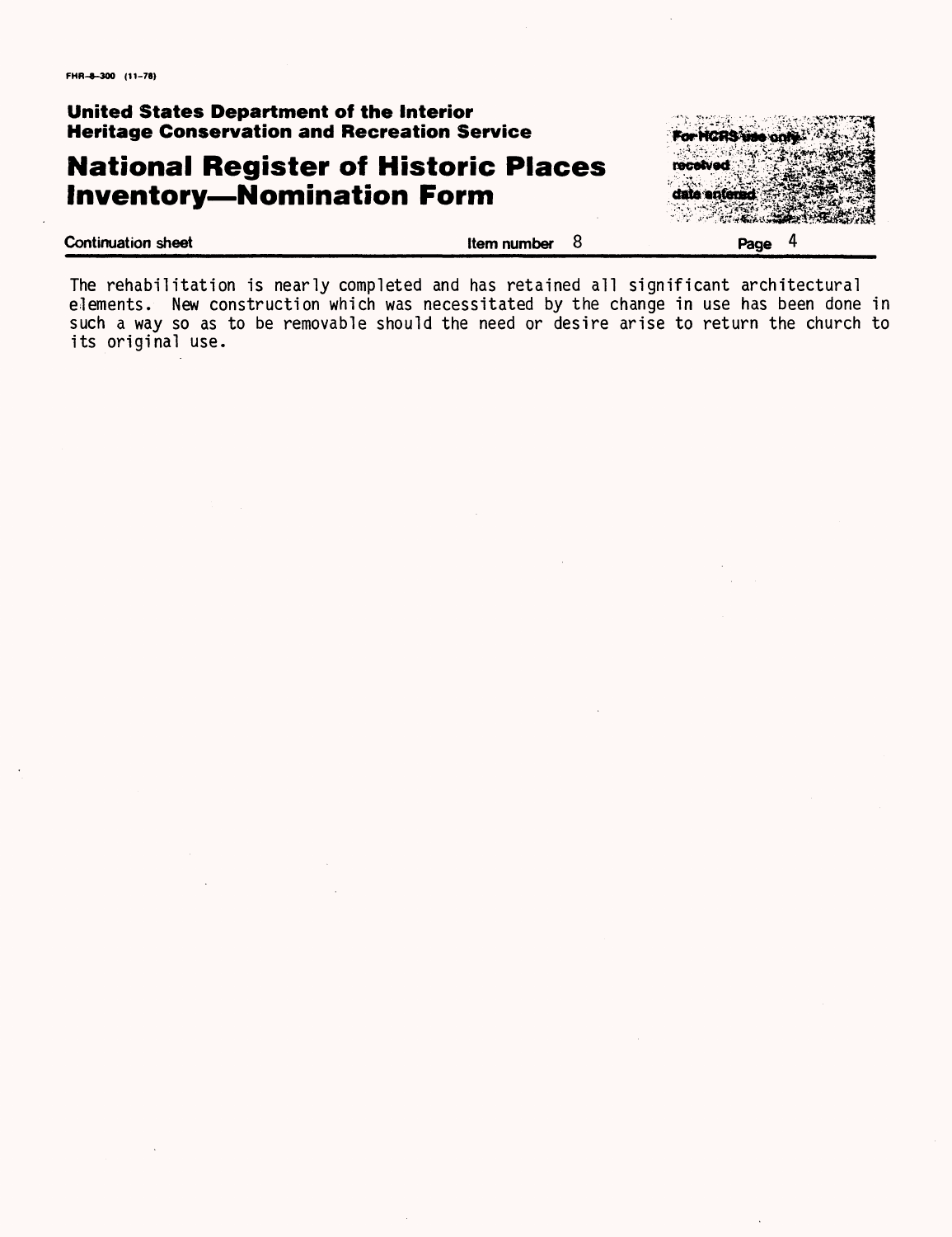# **National Register of Historic Places Inventory—Nomination Form**



The rehabilitation is nearly completed and has retained all significant architectural elements. New construction which was necessitated by the change in use has been done in such a way so as to be removable should the need or desire arise to return the church to its original use.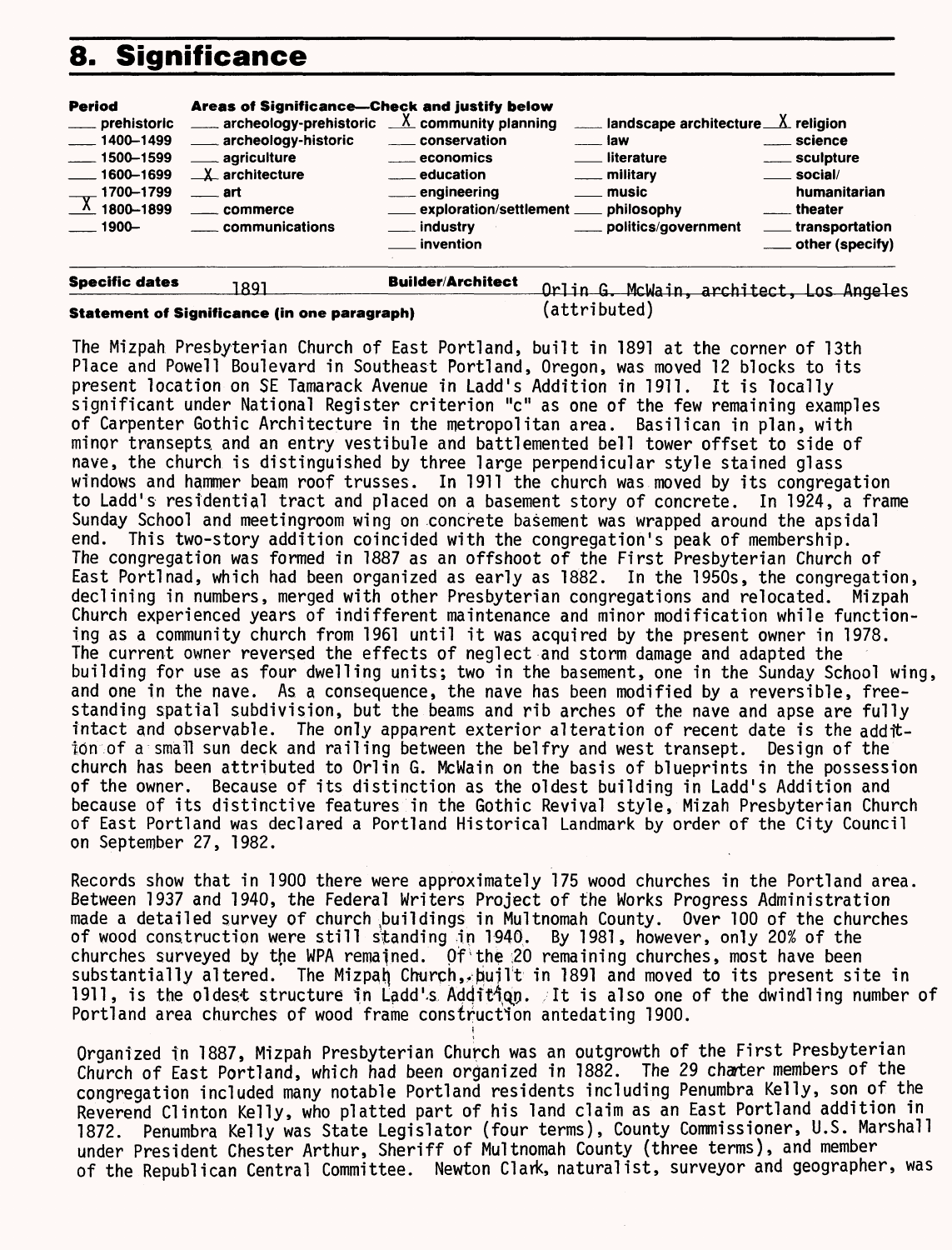# **8. Significance**

| <b>Period</b><br>____ prehistoric<br>$\frac{1}{2}$ 1400-1499<br>$-1500 - 1599$<br>$\frac{1600 - 1699}{1600 - 1699}$<br>1700-1799<br>$\frac{1}{100}$ 1800-1899<br>$-1900-$ | Areas of Significance—Check and justify below<br>$\frac{1}{2}$ archeology-prehistoric $\frac{X}{X}$ community planning<br>_____ archeology-historic<br>_____ agriculture<br>$X$ architecture<br><u>___</u> art<br><u>__</u> __ commerce<br>communications | ____ conservation<br><u>__</u> ___ economics<br><u>__</u> education<br>___ engineering<br>exploration/settlement ___ philosophy<br><u>__</u> _ industry<br><b>invention</b> | $\frac{1}{2}$ landscape architecture $\frac{X}{X}$ religion<br>$\equiv$ law<br>___ literature<br>___ military<br><u>_</u> __ music<br>____ politics/government | ___ science<br>____ sculpture<br>__ social/<br>humanitarian<br>theater<br>transportation |
|---------------------------------------------------------------------------------------------------------------------------------------------------------------------------|-----------------------------------------------------------------------------------------------------------------------------------------------------------------------------------------------------------------------------------------------------------|-----------------------------------------------------------------------------------------------------------------------------------------------------------------------------|----------------------------------------------------------------------------------------------------------------------------------------------------------------|------------------------------------------------------------------------------------------|
| <b>Specific dates</b>                                                                                                                                                     | 1891                                                                                                                                                                                                                                                      | <b>Builder/Architect</b>                                                                                                                                                    | architect.<br>Orlin G.<br>McWain.                                                                                                                              | Los Angeles                                                                              |

**Statement of Significance (in one paragraph)** (attributed)

The Mizpah Presbyterian Church of East Portland, built in 1891 at the corner of 13th Place and Powell Boulevard in Southeast Portland, Oregon, was moved 12 blocks to its present location on SE Tamarack Avenue in Ladd's Addition in 1911. It is locally significant under National Register criterion "c" as one of the few remaining examples of Carpenter Gothic Architecture in the metropolitan area. Basilican in plan, with minor transepts and an entry vestibule and battlemented bell tower offset to side of nave, the church is distinguished by three large perpendicular style stained glass windows and hammer beam roof trusses. In 1911 the church was moved by its congregation to Ladd's residential tract and placed on a basement story of concrete. In 1924, a frame Sunday School and meetingroom wing on concrete basement was wrapped around the apsidal end. This two-story addition coincided with the congregation's peak of membership. The congregation was formed in 1887 as an offshoot of the First Presbyterian Church of East Portlnad, which had been organized as early as 1882. In the 1950s, the congregation, declining in numbers, merged with other Presbyterian congregations and relocated. Mizpah Church experienced years of indifferent maintenance and minor modification while functioning as a community church from 1961 until it was acquired by the present owner in 1978. The current owner reversed the effects of neglect and storm damage and adapted the building for use as four dwelling units; two in the basement, one in the Sunday School wing, and one in the nave. As a consequence, the nave has been modified by a reversible, freestanding spatial subdivision, but the beams and rib arches of the nave and apse are fully intact and observable. The only apparent exterior alteration of recent date is the addition of a small sun deck and railing between the belfry and west transept. Design of the church has been attributed to Orlin G. McWain on the basis of blueprints in the possession of the owner. Because of its distinction as the oldest building in Ladd's Addition and because of its distinctive features in the Gothic Revival style, Mizah Presbyterian Church of East Portland was declared a Portland Historical Landmark by order of the City Council on September 27, 1982.

Records show that in 1900 there were approximately 175 wood churches in the Portland area. Between 1937 and 1940, the Federal Writers Project of the Works Progress Administration made a detailed survey of church buildings in Multnomah County. Over 100 of the churches of wood construction were still standing in 1940. By 1981, however, only 20% of the churches surveyed by the WPA remained. Of'the ;20 remaining churches, most have been substantially altered. The Mizpah Church, built in 1891 and moved to its present site in 1911, is the oldest structure in Ladd's Addition. It is also one of the dwindling number of Portland area churches of wood frame construction antedating 1900.

Organized in 1887, Mizpah Presbyterian Church was an outgrowth of the First Presbyterian Church of East Portland, which had been organized in 1882. The 29 charter members of the congregation included many notable Portland residents including Penumbra Kelly, son of the Reverend Clinton Kelly, who platted part of his land claim as an East Portland addition in 1872. Penumbra Kelly was State Legislator (four terms), County Commissioner, U.S. Marshall under President Chester Arthur, Sheriff of Multnomah County (three terms), and member of the Republican Central Committee. Newton Clark, naturalist, surveyor and geographer, was

i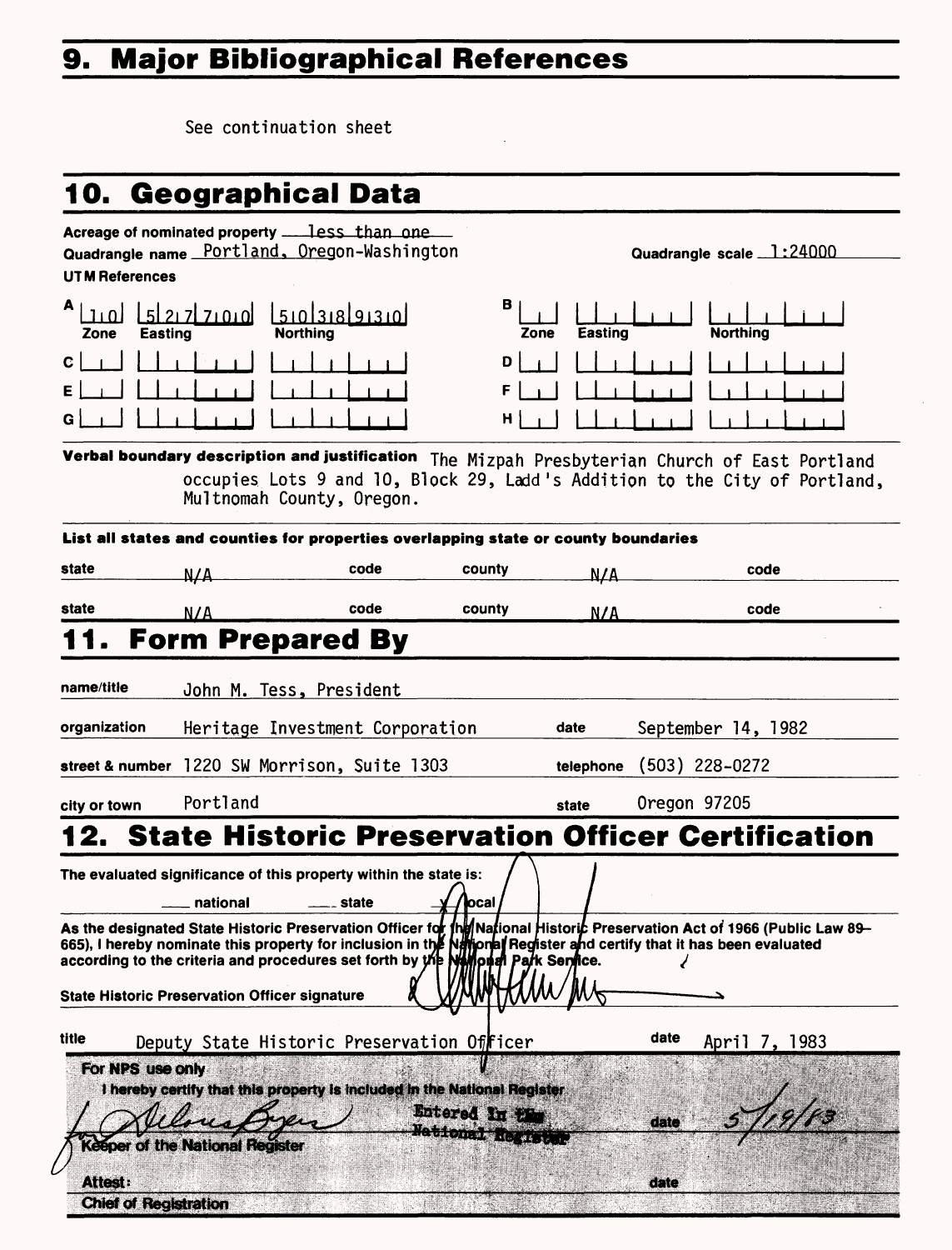# **9. Major Bibliographical References**

See continuation sheet

# **10. Geographical Data**

| <b>UTM References</b>                                                                                                                                                                                                                                                                                                                                                                      | Acreage of nominated property _____less_than_one<br>Quadrangle name Portland, Oregon-Washington |                |                                       |           | Quadrangle scale 1:24000                             |
|--------------------------------------------------------------------------------------------------------------------------------------------------------------------------------------------------------------------------------------------------------------------------------------------------------------------------------------------------------------------------------------------|-------------------------------------------------------------------------------------------------|----------------|---------------------------------------|-----------|------------------------------------------------------|
| <b>Easting</b><br>Zone                                                                                                                                                                                                                                                                                                                                                                     | اهیمید احیط ا<br><b>Northing</b>                                                                | 15101318191310 | в<br>Zone                             | Easting   | <b>Northing</b>                                      |
| c<br>Е<br>G                                                                                                                                                                                                                                                                                                                                                                                |                                                                                                 |                | D<br>F<br>н                           |           |                                                      |
| Verbal boundary description and justification<br>The Mizpah Presbyterian Church of East Portland<br>occupies Lots 9 and 10, Block 29, Ladd's Addition to the City of Portland,<br>Multnomah County, Oregon.                                                                                                                                                                                |                                                                                                 |                |                                       |           |                                                      |
|                                                                                                                                                                                                                                                                                                                                                                                            | List all states and counties for properties overlapping state or county boundaries              |                |                                       |           |                                                      |
| state                                                                                                                                                                                                                                                                                                                                                                                      | N/A                                                                                             | code           | county                                | N/A       | code                                                 |
| state                                                                                                                                                                                                                                                                                                                                                                                      | N/A                                                                                             | code           | county                                | N/A       | code                                                 |
|                                                                                                                                                                                                                                                                                                                                                                                            | <b>Form Prepared By</b>                                                                         |                |                                       |           |                                                      |
| name/title                                                                                                                                                                                                                                                                                                                                                                                 | John M. Tess, President                                                                         |                |                                       |           |                                                      |
| organization                                                                                                                                                                                                                                                                                                                                                                               | Heritage Investment Corporation                                                                 |                |                                       | date      | September 14, 1982                                   |
|                                                                                                                                                                                                                                                                                                                                                                                            | street & number 1220 SW Morrison, Suite 1303                                                    |                |                                       | telephone | $(503)$ 228-0272                                     |
| city or town                                                                                                                                                                                                                                                                                                                                                                               | Portland                                                                                        |                |                                       | state     | Oregon 97205                                         |
|                                                                                                                                                                                                                                                                                                                                                                                            |                                                                                                 |                |                                       |           | 2. State Historic Preservation Officer Certification |
| The evaluated significance of this property within the state is:<br>national<br>state<br>ocal                                                                                                                                                                                                                                                                                              |                                                                                                 |                |                                       |           |                                                      |
| As the designated State Historic Preservation Officer for fhind National Historic Preservation Act of 1966 (Public Law 89-<br>665), I hereby nominate this property for inclusion in the National Register and certify that it has been evaluated<br>according to the criteria and procedures set forth by the NMM on the Service.<br><b>State Historic Preservation Officer signature</b> |                                                                                                 |                |                                       |           |                                                      |
| title                                                                                                                                                                                                                                                                                                                                                                                      | Deputy State Historic Preservation Officer                                                      |                |                                       | date      | April 7, 1983                                        |
| For NPS use only                                                                                                                                                                                                                                                                                                                                                                           | I hereby certify that this property is included in the National Register                        |                | Entered In the<br>Matitonal Registant | date      |                                                      |
| Attest:<br><b>Chief of Registration</b>                                                                                                                                                                                                                                                                                                                                                    | <b>Keeper of the National Register</b>                                                          |                |                                       | date      |                                                      |